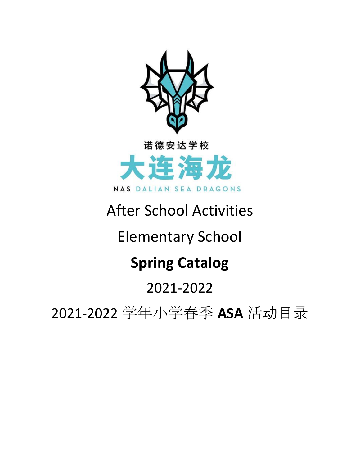

# After School Activities

# Elementary School

# **Spring Catalog**

# 2021-2022

2021-2022 学年小学春季 **ASA** 活动目录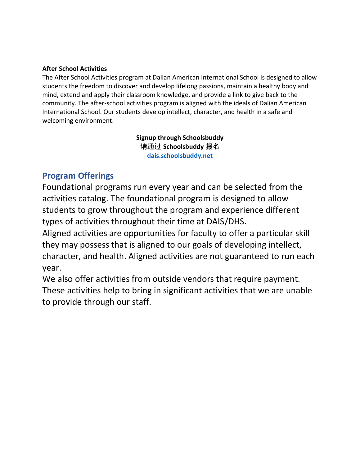#### **After School Activities**

The After School Activities program at Dalian American International School is designed to allow students the freedom to discover and develop lifelong passions, maintain a healthy body and mind, extend and apply their classroom knowledge, and provide a link to give back to the community. The after-school activities program is aligned with the ideals of Dalian American International School. Our students develop intellect, character, and health in a safe and welcoming environment.

> **Signup through Schoolsbuddy** 请通过 **Schoolsbuddy** 报名 **[dais.schoolsbuddy.net](https://dais.schoolsbuddy.net/#!/)**

# **Program Offerings**

Foundational programs run every year and can be selected from the activities catalog. The foundational program is designed to allow students to grow throughout the program and experience different types of activities throughout their time at DAIS/DHS.

Aligned activities are opportunities for faculty to offer a particular skill they may possess that is aligned to our goals of developing intellect, character, and health. Aligned activities are not guaranteed to run each year.

We also offer activities from outside vendors that require payment. These activities help to bring in significant activities that we are unable to provide through our staff.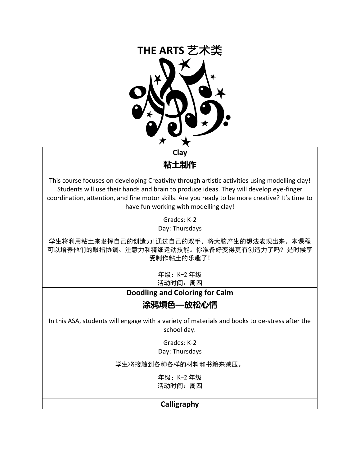

**粘土制作**

This course focuses on developing Creativity through artistic activities using modelling clay! Students will use their hands and brain to produce ideas. They will develop eye-finger coordination, attention, and fine motor skills. Are you ready to be more creative? It's time to have fun working with modelling clay!

> Grades: K-2 Day: Thursdays

学生将利用粘土来发挥自己的创造力!通过自己的双手,将大脑产生的想法表现出来。本课程 可以培养他们的眼指协调、注意力和精细运动技能。你准备好变得更有创造力了吗? 是时候享 受制作粘土的乐趣了!

> 年级:K-2 年级 活动时间:周四

**Doodling and Coloring for Calm**

# **涂鸦填色—放松心情**

In this ASA, students will engage with a variety of materials and books to de-stress after the school day.

> Grades: K-2 Day: Thursdays

学生将接触到各种各样的材料和书籍来减压。

年级:K-2 年级 活动时间:周四

#### **Calligraphy**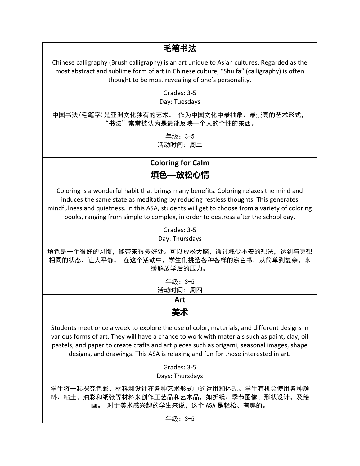# 毛笔书法

Chinese calligraphy (Brush calligraphy) is an art unique to Asian cultures. Regarded as the most abstract and sublime form of art in Chinese culture, "Shu fa" (calligraphy) is often thought to be most revealing of one's personality.

Grades: 3-5

Day: Tuesdays

中国书法(毛笔字)是亚洲文化独有的艺术。 作为中国文化中最抽象、最崇高的艺术形式, "书法"常常被认为是最能反映一个人的个性的东西。

> 年级:3-5 活动时间: 周二

# **Coloring for Calm 填色—放松心情**

Coloring is a wonderful habit that brings many benefits. Coloring relaxes the mind and induces the same state as meditating by reducing restless thoughts. This generates mindfulness and quietness. In this ASA, students will get to choose from a variety of coloring books, ranging from simple to complex, in order to destress after the school day.

> Grades: 3-5 Day: Thursdays

填色是一个很好的习惯,能带来很多好处。可以放松大脑,通过减少不安的想法,达到与冥想 相同的状态,让人平静。 在这个活动中,学生们挑选各种各样的涂色书,从简单到复杂,来 缓解放学后的压力。

> 年级:3-5 活动时间: 周四

#### **Art 美术**

Students meet once a week to explore the use of color, materials, and different designs in various forms of art. They will have a chance to work with materials such as paint, clay, oil pastels, and paper to create crafts and art pieces such as origami, seasonal images, shape designs, and drawings. This ASA is relaxing and fun for those interested in art.

> Grades: 3-5 Days: Thursdays

学生将一起探究色彩、材料和设计在各种艺术形式中的运用和体现。学生有机会使用各种颜 料、粘土、油彩和纸张等材料来创作工艺品和艺术品,如折纸、季节图像、形状设计,及绘 画。 对于美术感兴趣的学生来说,这个 ASA 是轻松、有趣的。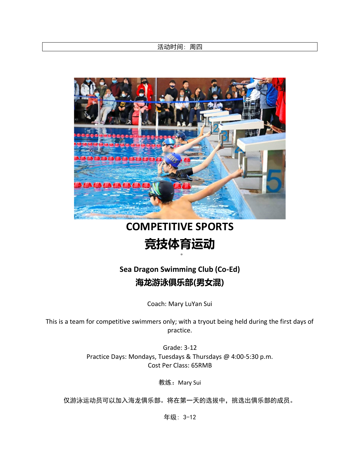活动时间: 周四



# **COMPETITIVE SPORTS 竞技体育运动**

# **Sea Dragon Swimming Club (Co-Ed) 海龙游泳俱乐部(男女混)**

Coach: Mary LuYan Sui

This is a team for competitive swimmers only; with a tryout being held during the first days of practice.

> Grade: 3-12 Practice Days: Mondays, Tuesdays & Thursdays @ 4:00-5:30 p.m. Cost Per Class: 65RMB

> > 教练: Mary Sui

仅游泳运动员可以加入海龙俱乐部。将在第一天的选拔中,挑选出俱乐部的成员。

年级: 3-12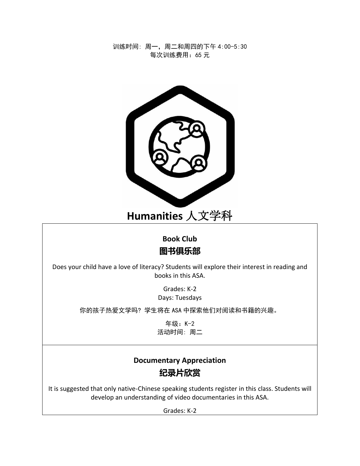训练时间: 周一,周二和周四的下午 4:00-5:30 每次训练费用:65 元



# **Humanities** 人文学科

# **Book Club 图书俱乐部**

Does your child have a love of literacy? Students will explore their interest in reading and books in this ASA.

> Grades: K-2 Days: Tuesdays

你的孩子热爱文学吗? 学生将在 ASA 中探索他们对阅读和书籍的兴趣。

年级:K-2 活动时间: 周二

# **Documentary Appreciation 纪录片欣赏**

It is suggested that only native-Chinese speaking students register in this class. Students will develop an understanding of video documentaries in this ASA.

Grades: K-2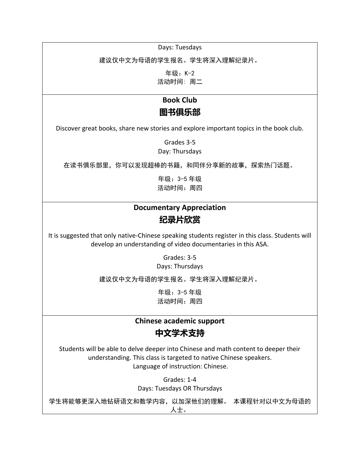Days: Tuesdays

建议仅中文为母语的学生报名。学生将深入理解纪录片。

年级:K-2 活动时间: 周二

#### **Book Club**

# **图书俱乐部**

Discover great books, share new stories and explore important topics in the book club.

Grades 3-5 Day: Thursdays

在读书俱乐部里,你可以发现超棒的书籍,和同伴分享新的故事,探索热门话题。

年级:3-5 年级 活动时间:周四

# **Documentary Appreciation 纪录片欣赏**

It is suggested that only native-Chinese speaking students register in this class. Students will develop an understanding of video documentaries in this ASA.

Grades: 3-5

Days: Thursdays

建议仅中文为母语的学生报名。学生将深入理解纪录片。

年级:3-5 年级 活动时间:周四

# **Chinese academic support 中文学术支持**

Students will be able to delve deeper into Chinese and math content to deeper their understanding. This class is targeted to native Chinese speakers. Language of instruction: Chinese.

> Grades: 1-4 Days: Tuesdays OR Thursdays

学生将能够更深入地钻研语文和数学内容,以加深他们的理解。 本课程针对以中文为母语的 人士。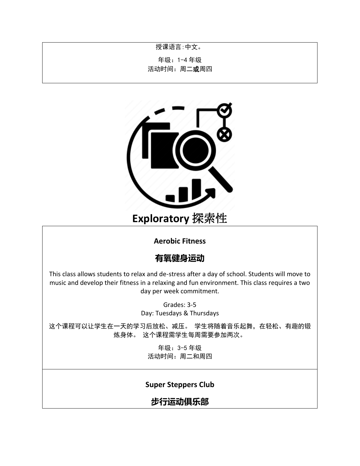授课语言:中文。

年级:1-4 年级

活动时间: 周二或周四



#### **Aerobic Fitness**

#### **有氧健身运动**

This class allows students to relax and de-stress after a day of school. Students will move to music and develop their fitness in a relaxing and fun environment. This class requires a two day per week commitment.

> Grades: 3-5 Day: Tuesdays & Thursdays

这个课程可以让学生在一天的学习后放松、减压。 学生将随着音乐起舞, 在轻松、有趣的锻 炼身体。 这个课程需学生每周需要参加两次。

> 年级:3-5 年级 活动时间: 周二和周四

#### **Super Steppers Club**

**步行运动俱乐部**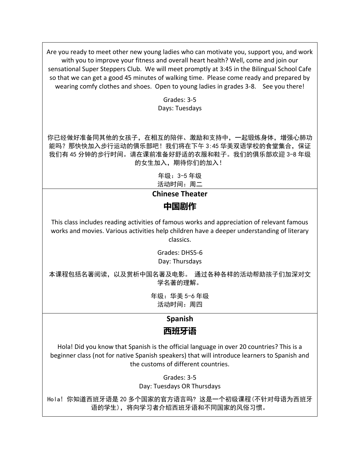Are you ready to meet other new young ladies who can motivate you, support you, and work with you to improve your fitness and overall heart health? Well, come and join our sensational Super Steppers Club. We will meet promptly at 3:45 in the Bilingual School Cafe so that we can get a good 45 minutes of walking time. Please come ready and prepared by wearing comfy clothes and shoes. Open to young ladies in grades 3-8. See you there!

> Grades: 3-5 Days: Tuesdays

你已经做好准备同其他的女孩子,在相互的陪伴、激励和支持中,一起锻炼身体,增强心肺功 能吗?那快快加入步行运动的俱乐部吧!我们将在下午 3:45 华美双语学校的食堂集合, 保证 我们有 45 分钟的步行时间。请在课前准备好舒适的衣服和鞋子。我们的俱乐部欢迎 3-8 年级 的女生加入,期待你们的加入!

> 年级:3-5 年级 活动时间:周二

**Chinese Theater 中国剧作**

This class includes reading activities of famous works and appreciation of relevant famous works and movies. Various activities help children have a deeper understanding of literary classics.

> Grades: DHS5-6 Day: Thursdays

本课程包括名著阅读,以及赏析中国名著及电影。 通过各种各样的活动帮助孩子们加深对文 学名著的理解。

> 年级:华美 5-6 年级 活动时间:周四

## **Spanish**

# **西班牙语**

Hola! Did you know that Spanish is the official language in over 20 countries? This is a beginner class (not for native Spanish speakers) that will introduce learners to Spanish and the customs of different countries.

> Grades: 3-5 Day: Tuesdays OR Thursdays

Hola! 你知道西班牙语是 20 多个国家的官方语言吗? 这是一个初级课程(不针对母语为西班牙 语的学生),将向学习者介绍西班牙语和不同国家的风俗习惯。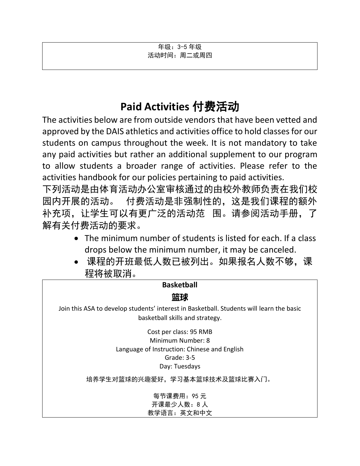年级:3-5 年级 活动时间: 周二或周四

# **Paid Activities** 付费活动

The activities below are from outside vendors that have been vetted and approved by the DAIS athletics and activities office to hold classes for our students on campus throughout the week. It is not mandatory to take any paid activities but rather an additional supplement to our program to allow students a broader range of activities. Please refer to the activities handbook for our policies pertaining to paid activities.

下列活动是由体育活动办公室审核通过的由校外教师负责在我们校 园内开展的活动。 付费活动是非强制性的,这是我们课程的额外 补充项,让学生可以有更广泛的活动范 围。请参阅活动手册,了 解有关付费活动的要求。

- The minimum number of students is listed for each. If a class drops below the minimum number, it may be canceled.
- 课程的开班最低人数已被列出。如果报名人数不够,课 程将被取消。

| <b>Basketball</b>                                                                                                            |  |
|------------------------------------------------------------------------------------------------------------------------------|--|
|                                                                                                                              |  |
| Join this ASA to develop students' interest in Basketball. Students will learn the basic<br>basketball skills and strategy.  |  |
| Cost per class: 95 RMB<br>Minimum Number: 8<br>Language of Instruction: Chinese and English<br>Grade: $3-5$<br>Day: Tuesdays |  |
| 培养学生对篮球的兴趣爱好,学习基本篮球技术及篮球比赛入门。                                                                                                |  |
| 每节课费用: 95元<br>开课最少人数: 8人<br>教学语言: 英文和中文                                                                                      |  |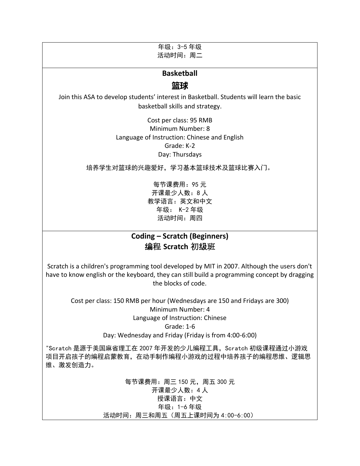年级:3-5 年级 活动时间:周二

#### **Basketball**

#### **篮球**

Join this ASA to develop students' interest in Basketball. Students will learn the basic basketball skills and strategy.

> Cost per class: 95 RMB Minimum Number: 8 Language of Instruction: Chinese and English Grade: K-2 Day: Thursdays

培养学生对篮球的兴趣爱好,学习基本篮球技术及篮球比赛入门。

每节课费用:95 元 开课最少人数:8 人 教学语言:英文和中文 年级: K-2 年级 活动时间:周四

#### **Coding – Scratch (Beginners)** 编程 **Scratch** 初级班

Scratch is a children's programming tool developed by MIT in 2007. Although the users don't have to know english or the keyboard, they can still build a programming concept by dragging the blocks of code.

Cost per class: 150 RMB per hour (Wednesdays are 150 and Fridays are 300) Minimum Number: 4 Language of Instruction: Chinese Grade: 1-6

Day: Wednesday and Friday (Friday is from 4:00-6:00)

"Scratch 是源于美国麻省理工在 2007 年开发的少儿编程工具, Scratch 初级课程通过小游戏 项目开启孩子的编程启蒙教育,在动手制作编程小游戏的过程中培养孩子的编程思维、逻辑思 维、激发创造力。

> 每节课费用:周三 150 元,周五 300 元 开课最少人数:4 人 授课语言:中文 年级:1-6 年级 活动时间:周三和周五(周五上课时间为 4:00-6:00)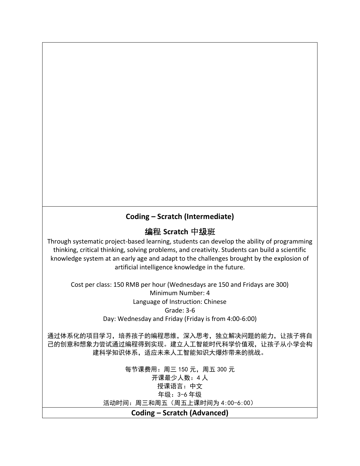## **Coding – Scratch (Intermediate)**

#### 编程 **Scratch** 中级班

Through systematic project-based learning, students can develop the ability of programming thinking, critical thinking, solving problems, and creativity. Students can build a scientific knowledge system at an early age and adapt to the challenges brought by the explosion of artificial intelligence knowledge in the future.

Cost per class: 150 RMB per hour (Wednesdays are 150 and Fridays are 300) Minimum Number: 4 Language of Instruction: Chinese Grade: 3-6 Day: Wednesday and Friday (Friday is from 4:00-6:00)

通过体系化的项目学习,培养孩子的编程思维,深入思考,独立解决问题的能力,让孩子将自 己的创意和想象力尝试通过编程得到实现。建立人工智能时代科学价值观,让孩子从小学会构 建科学知识体系,适应未来人工智能知识大爆炸带来的挑战。

> 每节课费用:周三 150 元,周五 300 元 开课最少人数:4 人 授课语言:中文 年级:3-6 年级 活动时间:周三和周五(周五上课时间为 4:00-6:00) **Coding – Scratch (Advanced)**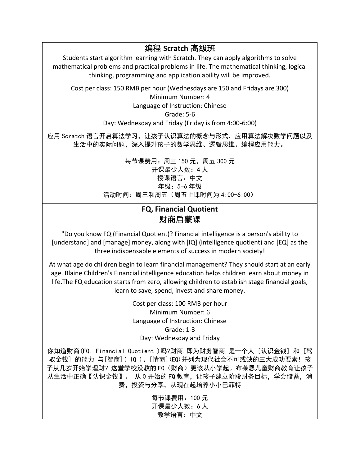编程 **Scratch** 高级班 Students start algorithm learning with Scratch. They can apply algorithms to solve mathematical problems and practical problems in life. The mathematical thinking, logical thinking, programming and application ability will be improved. Cost per class: 150 RMB per hour (Wednesdays are 150 and Fridays are 300) Minimum Number: 4 Language of Instruction: Chinese Grade: 5-6 Day: Wednesday and Friday (Friday is from 4:00-6:00) 应用 Scratch 语言开启算法学习,让孩子认识算法的概念与形式,应用算法解决数学问题以及 生活中的实际问题,深入提升孩子的数学思维、逻辑思维、编程应用能力。 每节课费用:周三 150 元,周五 300 元 开课最少人数:4 人 授课语言:中文 年级:5-6 年级 活动时间:周三和周五(周五上课时间为 4:00-6:00)

#### **FQ, Financial Quotient** 财商启蒙课

"Do you know FQ (Financial Quotient)? Financial intelligence is a person's ability to [understand] and [manage] money, along with [IQ] (intelligence quotient) and [EQ] as the three indispensable elements of success in modern society!

At what age do children begin to learn financial management? They should start at an early age. Blaine Children's Financial intelligence education helps children learn about money in life.The FQ education starts from zero, allowing children to establish stage financial goals, learn to save, spend, invest and share money.

> Cost per class: 100 RMB per hour Minimum Number: 6 Language of Instruction: Chinese Grade: 1-3 Day: Wednesday and Friday

你知道财商(FQ, Financial Quotient )吗?财商,即为财务智商,是一个人 [认识金钱] 和 [驾 驭金钱] 的能力,与[智商]( IQ )、[情商](EQ)并列为现代社会不可或缺的三大成功要素! 孩 子从几岁开始学理财?这堂学校没教的 FQ(财商)更该从小学起。布莱恩儿童财商教育让孩子 从生活中正确【认识金钱】。 从 0 开始的 FQ 教育,让孩子建立阶段财务目标,学会储蓄,消 费,投资与分享,从现在起培养小小巴菲特

> 每节课费用:100 元 开课最少人数:6 人 教学语言:中文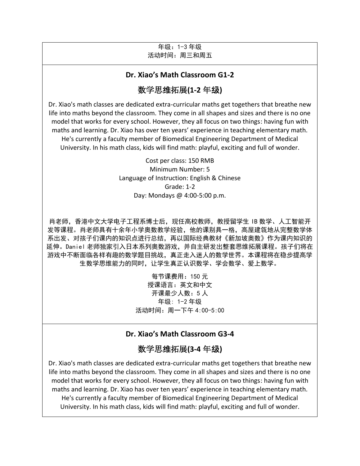#### 年级:1-3 年级 活动时间:周三和周五

#### **Dr. Xiao's Math Classroom G1-2**

### 数学思维拓展**(1-2** 年级**)**

Dr. Xiao's math classes are dedicated extra-curricular maths get togethers that breathe new life into maths beyond the classroom. They come in all shapes and sizes and there is no one model that works for every school. However, they all focus on two things: having fun with maths and learning. Dr. Xiao has over ten years' experience in teaching elementary math. He's currently a faculty member of Biomedical Engineering Department of Medical University. In his math class, kids will find math: playful, exciting and full of wonder.

> Cost per class: 150 RMB Minimum Number: 5 Language of Instruction: English & Chinese Grade: 1-2 Day: Mondays @ 4:00-5:00 p.m.

肖老师,香港中文大学电子工程系博士后,现任高校教师,教授留学生 IB 数学、人工智能开 发等课程。肖老师具有十余年小学奥数教学经验,他的课别具一格,高屋建瓴地从完整数学体 系出发、对孩子们课内的知识点进行总结,再以国际经典教材《新加坡奥数》作为课内知识的 延伸。Daniel 老师独家引入日本系列奥数游戏,并自主研发出整套思维拓展课程。孩子们将在 游戏中不断面临各样有趣的数学题目挑战,真正走入迷人的数学世界。本课程将在稳步提高学 生数学思维能力的同时,让学生真正认识数学、学会数学、爱上数学。

> 每节课费用:150 元 授课语言: 英文和中文 开课最少人数:5 人 年级: 1-2 年级 活动时间:周一下午 4:00-5:00

#### **Dr. Xiao's Math Classroom G3-4**

#### 数学思维拓展**(3-4** 年级**)**

Dr. Xiao's math classes are dedicated extra-curricular maths get togethers that breathe new life into maths beyond the classroom. They come in all shapes and sizes and there is no one model that works for every school. However, they all focus on two things: having fun with maths and learning. Dr. Xiao has over ten years' experience in teaching elementary math. He's currently a faculty member of Biomedical Engineering Department of Medical University. In his math class, kids will find math: playful, exciting and full of wonder.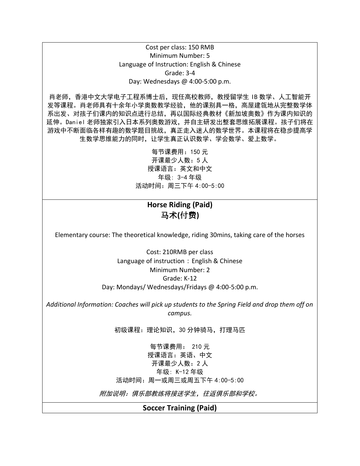#### Cost per class: 150 RMB Minimum Number: 5 Language of Instruction: English & Chinese Grade: 3-4 Day: Wednesdays @ 4:00-5:00 p.m.

肖老师,香港中文大学电子工程系博士后,现任高校教师,教授留学生 IB 数学、人工智能开 发等课程。肖老师具有十余年小学奥数教学经验,他的课别具一格,高屋建瓴地从完整数学体 系出发、对孩子们课内的知识点进行总结,再以国际经典教材《新加坡奥数》作为课内知识的 延伸。Daniel 老师独家引入日本系列奥数游戏,并自主研发出整套思维拓展课程。孩子们将在 游戏中不断面临各样有趣的数学题目挑战,真正走入迷人的数学世界。本课程将在稳步提高学 生数学思维能力的同时,让学生真正认识数学、学会数学、爱上数学。

> 每节课费用:150 元 开课最少人数:5 人 授课语言:英文和中文 年级: 3-4 年级 活动时间:周三下午 4:00-5:00

## **Horse Riding (Paid)**  马术**(**付费**)**

Elementary course: The theoretical knowledge, riding 30mins, taking care of the horses

Cost: 210RMB per class Language of instruction: English & Chinese Minimum Number: 2 Grade: K-12 Day: Mondays/ Wednesdays/Fridays @ 4:00-5:00 p.m.

*Additional Information: Coaches will pick up students to the Spring Field and drop them off on campus.*

初级课程:理论知识,30 分钟骑马,打理马匹

每节课费用: 210 元 授课语言:英语、中文 开课最少人数:2 人 年级: K-12 年级 活动时间:周一或周三或周五下午 4:00-5:00

附加说明:俱乐部教练将接送学生,往返俱乐部和学校。

#### **Soccer Training (Paid)**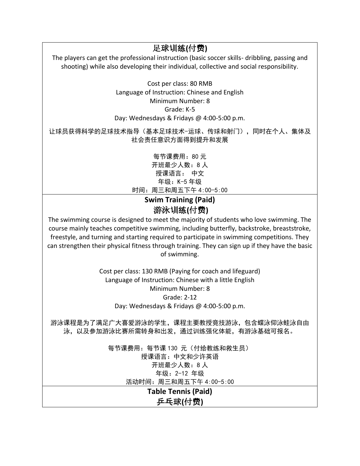足球训练**(**付费**)** The players can get the professional instruction (basic soccer skills- dribbling, passing and shooting) while also developing their individual, collective and social responsibility.

> Cost per class: 80 RMB Language of Instruction: Chinese and English Minimum Number: 8 Grade: K-5 Day: Wednesdays & Fridays @ 4:00-5:00 p.m.

让球员获得科学的足球技术指导(基本足球技术-运球、传球和射门),同时在个人、集体及 社会责任意识方面得到提升和发展

> 每节课费用:80 元 开班最少人数:8 人 授课语言: 中文 年级:K-5 年级 时间:周三和周五下午 4:00-5:00

# **Swim Training (Paid)**  游泳训练**(**付费**)**

The swimming course is designed to meet the majority of students who love swimming. The course mainly teaches competitive swimming, including butterfly, backstroke, breaststroke, freestyle, and turning and starting required to participate in swimming competitions. They can strengthen their physical fitness through training. They can sign up if they have the basic of swimming.

> Cost per class: 130 RMB (Paying for coach and lifeguard) Language of Instruction: Chinese with a little English Minimum Number: 8 Grade: 2-12 Day: Wednesdays & Fridays @ 4:00-5:00 p.m.

游泳课程是为了满足广大喜爱游泳的学生,课程主要教授竞技游泳,包含蝶泳仰泳蛙泳自由 泳,以及参加游泳比赛所需转身和出发,通过训练强化体能,有游泳基础可报名。

> 每节课费用:每节课 130 元(付给教练和救生员) 授课语言:中文和少许英语 开班最少人数:8 人 年级:2-12 年级 活动时间:周三和周五下午 4:00-5:00

> > **Table Tennis (Paid)**  乒乓球**(**付费**)**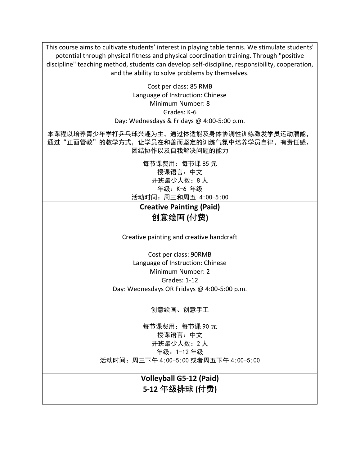This course aims to cultivate students' interest in playing table tennis. We stimulate students' potential through physical fitness and physical coordination training. Through "positive discipline" teaching method, students can develop self-discipline, responsibility, cooperation, and the ability to solve problems by themselves.

> Cost per class: 85 RMB Language of Instruction: Chinese Minimum Number: 8 Grades: K-6 Day: Wednesdays & Fridays @ 4:00-5:00 p.m.

本课程以培养青少年学打乒乓球兴趣为主,通过体适能及身体协调性训练激发学员运动潜能, 通过"正面管教"的教学方式,让学员在和善而坚定的训练气氛中培养学员自律、有责任感、 团结协作以及自我解决问题的能力

> 每节课费用:每节课 85 元 授课语言:中文 开班最少人数:8 人 年级:K-6 年级 活动时间:周三和周五 4:00-5:00

**Creative Painting (Paid)**  创意绘画 **(**付费**)**

Creative painting and creative handcraft

Cost per class: 90RMB Language of Instruction: Chinese Minimum Number: 2 Grades: 1-12 Day: Wednesdays OR Fridays @ 4:00-5:00 p.m.

创意绘画、创意手工

每节课费用:每节课 90 元 授课语言:中文 开班最少人数:2 人 年级:1-12 年级 活动时间:周三下午 4:00-5:00 或者周五下午 4:00-5:00

> **Volleyball G5-12 (Paid) 5-12** 年级排球 **(**付费**)**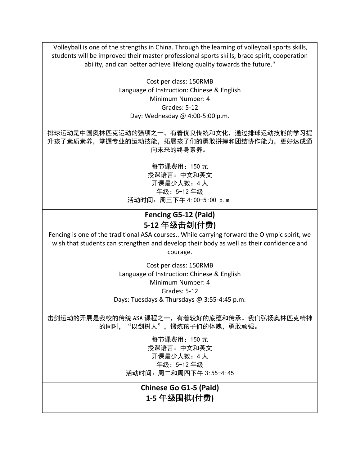Volleyball is one of the strengths in China. Through the learning of volleyball sports skills, students will be improved their master professional sports skills, brace spirit, cooperation ability, and can better achieve lifelong quality towards the future."

> Cost per class: 150RMB Language of Instruction: Chinese & English Minimum Number: 4 Grades: 5-12 Day: Wednesday @ 4:00-5:00 p.m.

排球运动是中国奥林匹克运动的强项之一,有着优良传统和文化,通过排球运动技能的学习提 升孩子素质素养,掌握专业的运动技能,拓展孩子们的勇敢拼搏和团结协作能力,更好达成通 向未来的终身素养。

> 每节课费用:150 元 授课语言:中文和英文 开课最少人数:4 人 年级:5-12 年级 活动时间:周三下午 4:00-5:00 p.m.

### **Fencing G5-12 (Paid) 5-12** 年级击剑**(**付费**)**

Fencing is one of the traditional ASA courses.. While carrying forward the Olympic spirit, we wish that students can strengthen and develop their body as well as their confidence and courage.

> Cost per class: 150RMB Language of Instruction: Chinese & English Minimum Number: 4 Grades: 5-12 Days: Tuesdays & Thursdays @ 3:55-4:45 p.m.

击剑运动的开展是我校的传统 ASA 课程之一,有着较好的底蕴和传承。我们弘扬奥林匹克精神 的同时,"以剑树人",锻炼孩子们的体魄,勇敢顽强。

> 每节课费用:150 元 授课语言:中文和英文 开课最少人数:4 人 年级:5-12 年级 活动时间:周二和周四下午 3:55-4:45

> > **Chinese Go G1-5 (Paid) 1-5** 年级围棋**(**付费**)**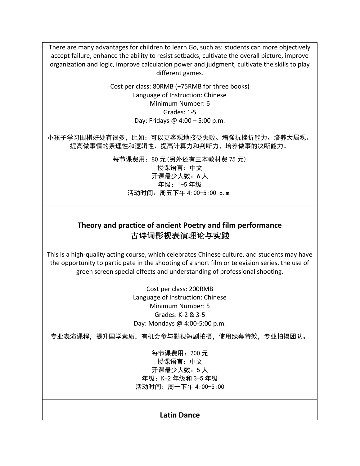There are many advantages for children to learn Go, such as: students can more objectively accept failure, enhance the ability to resist setbacks, cultivate the overall picture, improve organization and logic, improve calculation power and judgment, cultivate the skills to play different games.

> Cost per class: 80RMB (+75RMB for three books) Language of Instruction: Chinese Minimum Number: 6 Grades: 1-5 Day: Fridays @ 4:00 – 5:00 p.m.

小孩子学习围棋好处有很多,比如:可以更客观地接受失败、增强抗挫折能力、培养大局观、 提高做事情的条理性和逻辑性、提高计算力和判断力、培养做事的决断能力。

> 每节课费用:80 元(另外还有三本教材费 75 元) 授课语言:中文 开课最少人数:6 人 年级:1-5 年级 活动时间:周五下午 4:00-5:00 p.m.

#### **Theory and practice of ancient Poetry and film performance** 古诗词影视表演理论与实践

This is a high-quality acting course, which celebrates Chinese culture, and students may have the opportunity to participate in the shooting of a short film or television series, the use of green screen special effects and understanding of professional shooting.

> Cost per class: 200RMB Language of Instruction: Chinese Minimum Number: 5 Grades: K-2 & 3-5 Day: Mondays @ 4:00-5:00 p.m.

专业表演课程,提升国学素质,有机会参与影视短剧拍摄,使用绿幕特效,专业拍摄团队。

每节课费用:200 元 授课语言:中文 开课最少人数:5 人 年级:K-2 年级和 3-5 年级 活动时间:周一下午 4:00-5:00

#### **Latin Dance**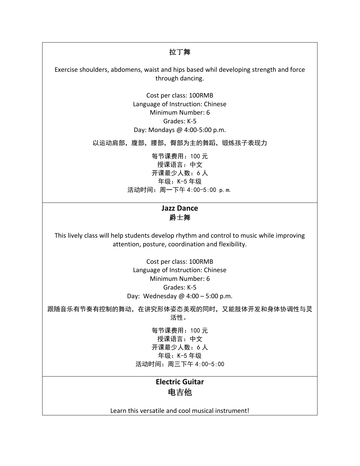#### 拉丁舞

Exercise shoulders, abdomens, waist and hips based whil developing strength and force through dancing.

> Cost per class: 100RMB Language of Instruction: Chinese Minimum Number: 6 Grades: K-5 Day: Mondays @ 4:00-5:00 p.m.

以运动肩部,腹部,腰部,臀部为主的舞蹈,锻炼孩子表现力

每节课费用:100 元 授课语言:中文 开课最少人数:6 人 年级:K-5 年级 活动时间:周一下午 4:00-5:00 p.m.

#### **Jazz Dance** 爵士舞

This lively class will help students develop rhythm and control to music while improving attention, posture, coordination and flexibility.

> Cost per class: 100RMB Language of Instruction: Chinese Minimum Number: 6 Grades: K-5 Day: Wednesday @ 4:00 – 5:00 p.m.

跟随音乐有节奏有控制的舞动,在讲究形体姿态美观的同时,又能肢体开发和身体协调性与灵 活性。

> 每节课费用:100 元 授课语言:中文 开课最少人数:6 人 年级:K-5 年级 活动时间:周三下午 4:00-5:00

## **Electric Guitar** 电吉他

Learn this versatile and cool musical instrument!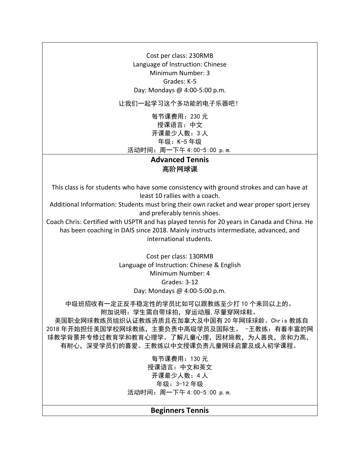Cost per class: 230RMB Language of Instruction: Chinese Minimum Number: 3 Grades: K-5 Day: Mondays @ 4:00-5:00 p.m.

让我们一起学习这个多功能的电子乐器吧!

每节课费用:230 元 授课语言:中文 开课最少人数:3 人 年级:K-5 年级 活动时间:周一下午 4:00-5:00 p.m.

#### **Advanced Tennis** 高阶网球课

This class is for students who have some consistency with ground strokes and can have at least 10 rallies with a coach.

Additional Information: Students must bring their own racket and wear proper sport jersey and preferably tennis shoes.

Coach Chris: Certified with USPTR and has played tennis for 20 years in Canada and China. He has been coaching in DAIS since 2018. Mainly instructs intermediate, advanced, and international students.

> Cost per class: 130RMB Language of Instruction: Chinese & English Minimum Number: 4 Grades: 3-12 Day: Mondays @ 4:00-5:00 p.m.

中级班招收有一定正反手稳定性的学员比如可以跟教练至少打 10 个来回以上的。 附加说明:学生需自带球拍,穿运动服,尽量穿网球鞋。

美国职业网球教练员组织认证教练资质且在加拿大及中国有 20 年网球球龄。Chris 教练自 2018 年开始担任美国学校网球教练,主要负责中高级学员及国际生。 -王教练:有着丰富的网 球教学背景并专修过教育学和教育心理学。了解儿童心理,因材施教,为人善良,亲和力高, 有耐心,深受学员们的喜爱。王教练以中文授课负责儿童网球启蒙及成人初学课程。

> 每节课费用:130 元 授课语言:中文和英文 开课最少人数:4 人 年级:3-12 年级 活动时间:周一下午 4:00-5:00 p.m.

#### **Beginners Tennis**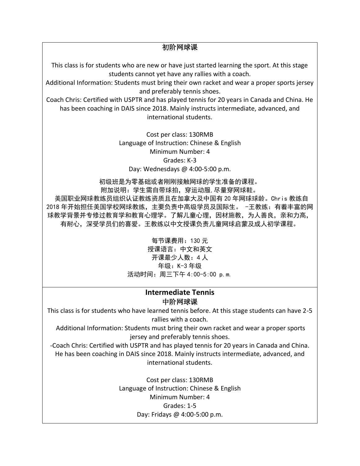初阶网球课

This class is for students who are new or have just started learning the sport. At this stage students cannot yet have any rallies with a coach.

Additional Information: Students must bring their own racket and wear a proper sports jersey and preferably tennis shoes.

Coach Chris: Certified with USPTR and has played tennis for 20 years in Canada and China. He has been coaching in DAIS since 2018. Mainly instructs intermediate, advanced, and international students.

> Cost per class: 130RMB Language of Instruction: Chinese & English Minimum Number: 4 Grades: K-3 Day: Wednesdays @ 4:00-5:00 p.m.

初级班是为零基础或者刚刚接触网球的学生准备的课程。

附加说明:学生需自带球拍,穿运动服,尽量穿网球鞋。 美国职业网球教练员组织认证教练资质且在加拿大及中国有 20 年网球球龄。Chris 教练自 2018 年开始担任美国学校网球教练,主要负责中高级学员及国际生。 -王教练:有着丰富的网 球教学背景并专修过教育学和教育心理学。了解儿童心理,因材施教,为人善良,亲和力高, 有耐心,深受学员们的喜爱。王教练以中文授课负责儿童网球启蒙及成人初学课程。

> 每节课费用:130 元 授课语言:中文和英文 开课最少人数:4 人 年级:K-3 年级 活动时间:周三下午 4:00-5:00 p.m.

#### **Intermediate Tennis** 中阶网球课

This class is for students who have learned tennis before. At this stage students can have 2-5 rallies with a coach.

Additional Information: Students must bring their own racket and wear a proper sports jersey and preferably tennis shoes.

-Coach Chris: Certified with USPTR and has played tennis for 20 years in Canada and China. He has been coaching in DAIS since 2018. Mainly instructs intermediate, advanced, and international students.

> Cost per class: 130RMB Language of Instruction: Chinese & English Minimum Number: 4 Grades: 1-5 Day: Fridays @ 4:00-5:00 p.m.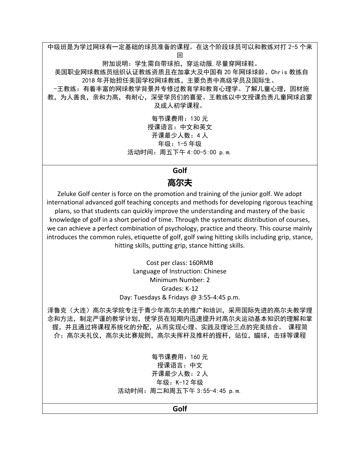中级班是为学过网球有一定基础的球员准备的课程。在这个阶段球员可以和教练对打 2-5 个来 回 附加说明:学生需自带球拍,穿运动服,尽量穿网球鞋。 美国职业网球教练员组织认证教练资质且在加拿大及中国有 20 年网球球龄。Chris 教练自 2018 年开始担任美国学校网球教练,主要负责中高级学员及国际生。 -王教练:有着丰富的网球教学背景并专修过教育学和教育心理学。了解儿童心理,因材施 教,为人善良,亲和力高,有耐心,深受学员们的喜爱。王教练以中文授课负责儿童网球启蒙 及成人初学课程。 每节课费用:130 元 授课语言:中文和英文

开课最少人数:4 人 年级:1-5 年级 活动时间:周五下午 4:00-5:00 p.m.

#### **Golf**

# **高尔夫**

Zeluke Golf center is force on the promotion and training of the junior golf. We adopt international advanced golf teaching concepts and methods for developing rigorous teaching plans, so that students can quickly improve the understanding and mastery of the basic knowledge of golf in a short period of time. Through the systematic distribution of courses, we can achieve a perfect combination of psychology, practice and theory. This course mainly introduces the common rules, etiquette of golf, golf swing hitting skills including grip, stance, hitting skills, putting grip, stance hitting skills.

> Cost per class: 160RMB Language of Instruction: Chinese Minimum Number: 2 Grades: K-12 Day: Tuesdays & Fridays @ 3:55-4:45 p.m.

泽鲁克(大连)高尔夫学院专注于青少年高尔夫的推广和培训,采用国际先进的高尔夫教学理 念和方法,制定严谨的教学计划,使学员在短期内迅速提升对高尔夫运动基本知识的理解和掌 握,并且通过将课程系统化的分配,从而实现心理、实践及理论三点的完美结合。 课程简 介:高尔夫礼仪,高尔夫比赛规则,高尔夫挥杆及推杆的握杆,站位,瞄球,击球等课程

> 每节课费用:160 元 授课语言:中文 开课最少人数:2 人 年级:K-12 年级 活动时间:周二和周五下午 3:55-4:45 p.m.

> > **Golf**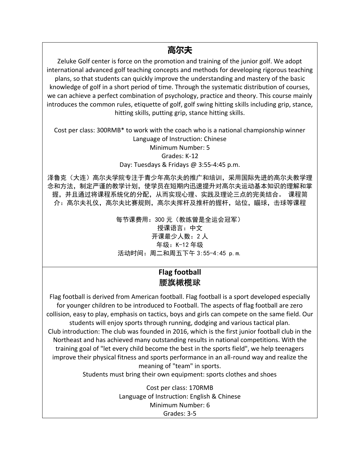# **高尔夫**

Zeluke Golf center is force on the promotion and training of the junior golf. We adopt international advanced golf teaching concepts and methods for developing rigorous teaching plans, so that students can quickly improve the understanding and mastery of the basic knowledge of golf in a short period of time. Through the systematic distribution of courses, we can achieve a perfect combination of psychology, practice and theory. This course mainly introduces the common rules, etiquette of golf, golf swing hitting skills including grip, stance, hitting skills, putting grip, stance hitting skills.

Cost per class: 300RMB\* to work with the coach who is a national championship winner Language of Instruction: Chinese Minimum Number: 5 Grades: K-12 Day: Tuesdays & Fridays @ 3:55-4:45 p.m.

泽鲁克(大连)高尔夫学院专注于青少年高尔夫的推广和培训,采用国际先进的高尔夫教学理 念和方法,制定严谨的教学计划,使学员在短期内迅速提升对高尔夫运动基本知识的理解和掌 握,并且通过将课程系统化的分配,从而实现心理、实践及理论三点的完美结合。 课程简 介:高尔夫礼,有规则,高尔夫挥杆及推杆的握杆,站位,瞄球,击球等课程

> 每节课费用:300 元(教练曾是全运会冠军) 授课语言:中文 开课最少人数:2 人 年级:K-12 年级 活动时间:周二和周五下午 3:55-4:45 p.m.

## **Flag football**  腰旗橄榄球

Flag football is derived from American football. Flag football is a sport developed especially for younger children to be introduced to Football. The aspects of flag football are zero collision, easy to play, emphasis on tactics, boys and girls can compete on the same field. Our students will enjoy sports through running, dodging and various tactical plan. Club introduction: The club was founded in 2016, which is the first junior football club in the Northeast and has achieved many outstanding results in national competitions. With the training goal of "let every child become the best in the sports field", we help teenagers improve their physical fitness and sports performance in an all-round way and realize the meaning of "team" in sports.

Students must bring their own equipment: sports clothes and shoes

Cost per class: 170RMB Language of Instruction: English & Chinese Minimum Number: 6 Grades: 3-5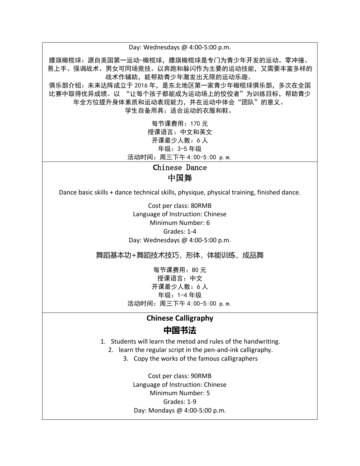Day: Wednesdays @ 4:00-5:00 p.m. 腰旗橄榄球:源自美国第一运动-橄榄球,腰旗橄榄球是专门为青少年开发的运动。零冲撞、 易上手、强调战术、男女可同场竞技。以奔跑和躲闪作为主要的运动技能,又需要丰富多样的 战术作辅助,能帮助青少年激发出无限的运动乐趣。 俱乐部介绍:未来达阵成立于 2016 年,是东北地区第一家青少年橄榄球俱乐部,多次在全国 比赛中取得优异成绩。以 "让每个孩子都能成为运动场上的佼佼者"为训练目标,帮助青少 年全方位提升身体素质和运动表现能力,并在运动中体会"团队"的意义。 学生自备用具:适合运动的衣服和鞋。

> 每节课费用:170 元 授课语言:中文和英文 开课最少人数:6 人 年级:3-5 年级 活动时间:周三下午 4:00-5:00 p.m.

> > **C**hinese Dance 中国舞

Dance basic skills + dance technical skills, physique, physical training, finished dance.

Cost per class: 80RMB Language of Instruction: Chinese Minimum Number: 6 Grades: 1-4 Day: Wednesdays @ 4:00-5:00 p.m.

舞蹈基本功+舞蹈技术技巧,形体,体能训练,成品舞

每节课费用:80 元 授课语言:中文 开课最少人数:6 人 年级:1-4 年级 活动时间:周三下午 4:00-5:00 p.m.

### **Chinese Calligraphy 中国书法**

- 1. Students will learn the metod and rules of the handwriting.
	- 2. learn the regular script in the pen-and-ink calligraphy.
		- 3. Copy the works of the famous calligraphers

Cost per class: 90RMB Language of Instruction: Chinese Minimum Number: 5 Grades: 1-9 Day: Mondays @ 4:00-5:00 p.m.